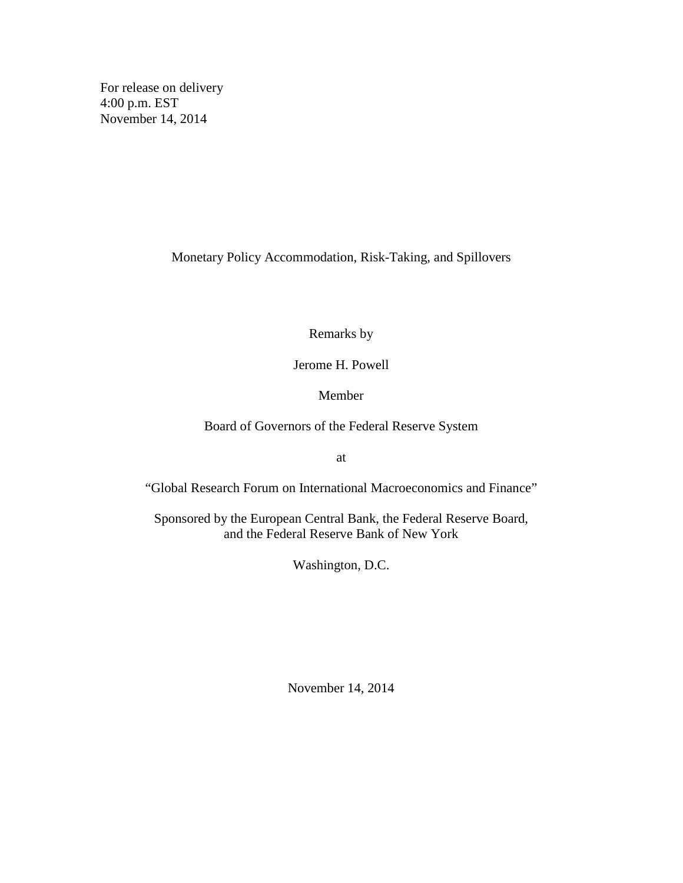For release on delivery 4:00 p.m. EST November 14, 2014

Monetary Policy Accommodation, Risk-Taking, and Spillovers

Remarks by

Jerome H. Powell

Member

Board of Governors of the Federal Reserve System

at

"Global Research Forum on International Macroeconomics and Finance"

Sponsored by the European Central Bank, the Federal Reserve Board, and the Federal Reserve Bank of New York

Washington, D.C.

November 14, 2014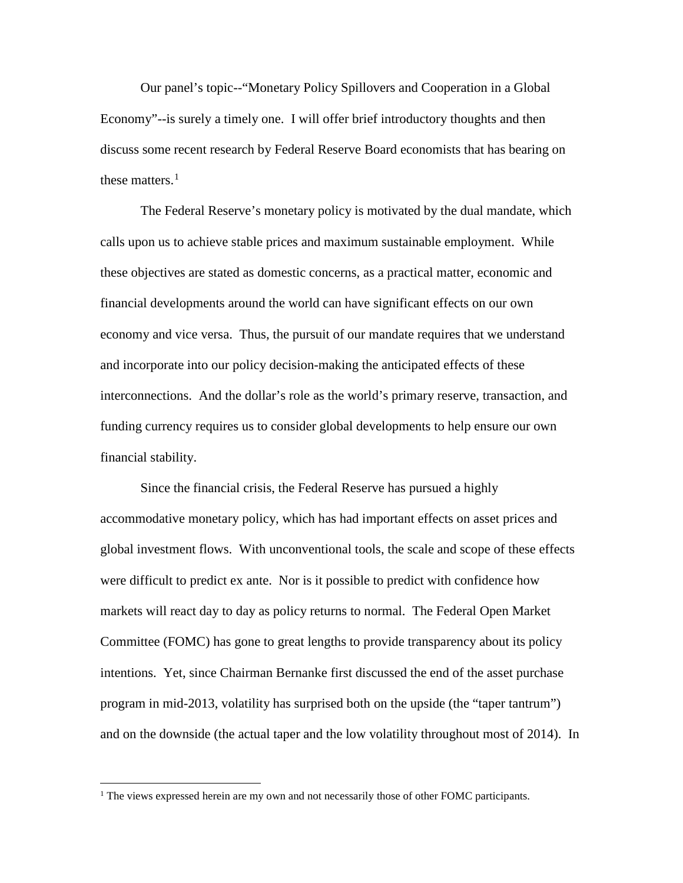Our panel's topic--"Monetary Policy Spillovers and Cooperation in a Global Economy"--is surely a timely one. I will offer brief introductory thoughts and then discuss some recent research by Federal Reserve Board economists that has bearing on these matters.<sup>[1](#page-1-0)</sup>

The Federal Reserve's monetary policy is motivated by the dual mandate, which calls upon us to achieve stable prices and maximum sustainable employment. While these objectives are stated as domestic concerns, as a practical matter, economic and financial developments around the world can have significant effects on our own economy and vice versa. Thus, the pursuit of our mandate requires that we understand and incorporate into our policy decision-making the anticipated effects of these interconnections. And the dollar's role as the world's primary reserve, transaction, and funding currency requires us to consider global developments to help ensure our own financial stability.

Since the financial crisis, the Federal Reserve has pursued a highly accommodative monetary policy, which has had important effects on asset prices and global investment flows. With unconventional tools, the scale and scope of these effects were difficult to predict ex ante. Nor is it possible to predict with confidence how markets will react day to day as policy returns to normal. The Federal Open Market Committee (FOMC) has gone to great lengths to provide transparency about its policy intentions. Yet, since Chairman Bernanke first discussed the end of the asset purchase program in mid-2013, volatility has surprised both on the upside (the "taper tantrum") and on the downside (the actual taper and the low volatility throughout most of 2014). In

 $\overline{a}$ 

<span id="page-1-0"></span><sup>&</sup>lt;sup>1</sup> The views expressed herein are my own and not necessarily those of other FOMC participants.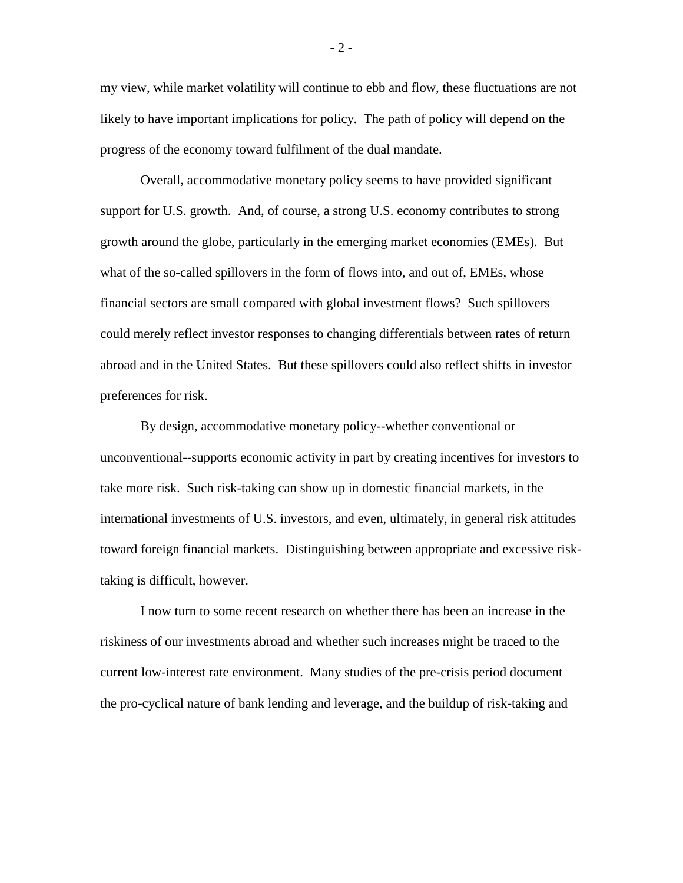my view, while market volatility will continue to ebb and flow, these fluctuations are not likely to have important implications for policy. The path of policy will depend on the progress of the economy toward fulfilment of the dual mandate.

Overall, accommodative monetary policy seems to have provided significant support for U.S. growth. And, of course, a strong U.S. economy contributes to strong growth around the globe, particularly in the emerging market economies (EMEs). But what of the so-called spillovers in the form of flows into, and out of, EMEs, whose financial sectors are small compared with global investment flows? Such spillovers could merely reflect investor responses to changing differentials between rates of return abroad and in the United States. But these spillovers could also reflect shifts in investor preferences for risk.

By design, accommodative monetary policy--whether conventional or unconventional--supports economic activity in part by creating incentives for investors to take more risk. Such risk-taking can show up in domestic financial markets, in the international investments of U.S. investors, and even, ultimately, in general risk attitudes toward foreign financial markets. Distinguishing between appropriate and excessive risktaking is difficult, however.

I now turn to some recent research on whether there has been an increase in the riskiness of our investments abroad and whether such increases might be traced to the current low-interest rate environment. Many studies of the pre-crisis period document the pro-cyclical nature of bank lending and leverage, and the buildup of risk-taking and

 $-2-$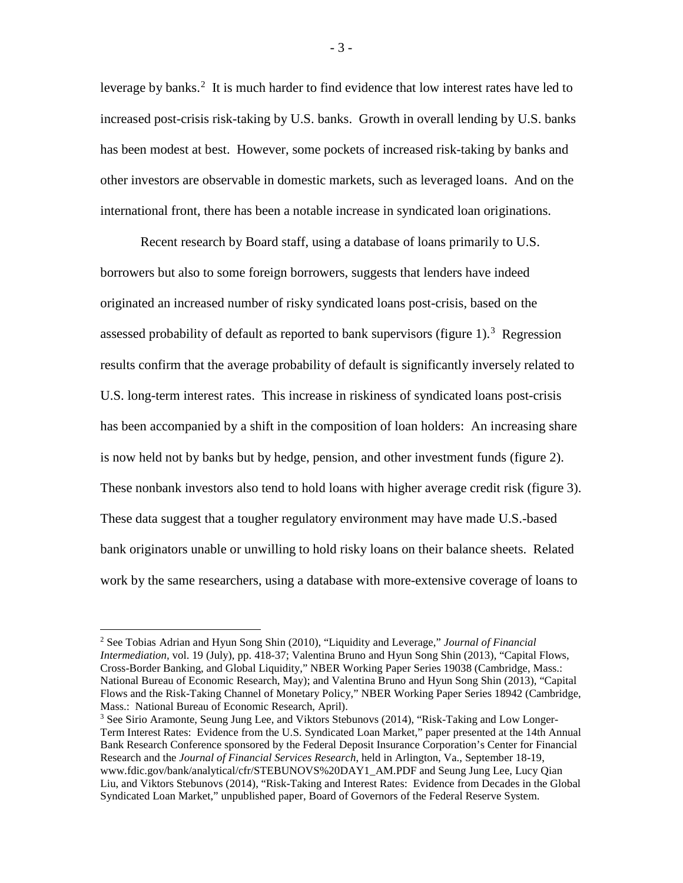leverage by banks.<sup>[2](#page-3-0)</sup> It is much harder to find evidence that low interest rates have led to increased post-crisis risk-taking by U.S. banks. Growth in overall lending by U.S. banks has been modest at best. However, some pockets of increased risk-taking by banks and other investors are observable in domestic markets, such as leveraged loans. And on the international front, there has been a notable increase in syndicated loan originations.

Recent research by Board staff, using a database of loans primarily to U.S. borrowers but also to some foreign borrowers, suggests that lenders have indeed originated an increased number of risky syndicated loans post-crisis, based on the assessed probability of default as reported to bank supervisors (figure 1).<sup>[3](#page-3-1)</sup> Regression results confirm that the average probability of default is significantly inversely related to U.S. long-term interest rates. This increase in riskiness of syndicated loans post-crisis has been accompanied by a shift in the composition of loan holders: An increasing share is now held not by banks but by hedge, pension, and other investment funds (figure 2). These nonbank investors also tend to hold loans with higher average credit risk (figure 3). These data suggest that a tougher regulatory environment may have made U.S.-based bank originators unable or unwilling to hold risky loans on their balance sheets. Related work by the same researchers, using a database with more-extensive coverage of loans to

 $\overline{a}$ 

<span id="page-3-0"></span><sup>2</sup> See Tobias Adrian and Hyun Song Shin (2010), "Liquidity and Leverage," *Journal of Financial Intermediation,* vol. 19 (July), pp. 418-37; Valentina Bruno and Hyun Song Shin (2013), "Capital Flows, Cross-Border Banking, and Global Liquidity," NBER Working Paper Series 19038 (Cambridge, Mass.: National Bureau of Economic Research, May); and Valentina Bruno and Hyun Song Shin (2013), "Capital Flows and the Risk-Taking Channel of Monetary Policy," NBER Working Paper Series 18942 (Cambridge, Mass.: National Bureau of Economic Research, April).

<span id="page-3-1"></span><sup>&</sup>lt;sup>3</sup> See Sirio Aramonte, Seung Jung Lee, and Viktors Stebunovs (2014), "Risk-Taking and Low Longer-Term Interest Rates: Evidence from the U.S. Syndicated Loan Market," paper presented at the 14th Annual Bank Research Conference sponsored by the Federal Deposit Insurance Corporation's Center for Financial Research and the *Journal of Financial Services Research*, held in Arlington, Va., September 18-19, www.fdic.gov/bank/analytical/cfr/STEBUNOVS%20DAY1\_AM.PDF and Seung Jung Lee, Lucy Qian Liu, and Viktors Stebunovs (2014), "Risk-Taking and Interest Rates: Evidence from Decades in the Global Syndicated Loan Market," unpublished paper, Board of Governors of the Federal Reserve System.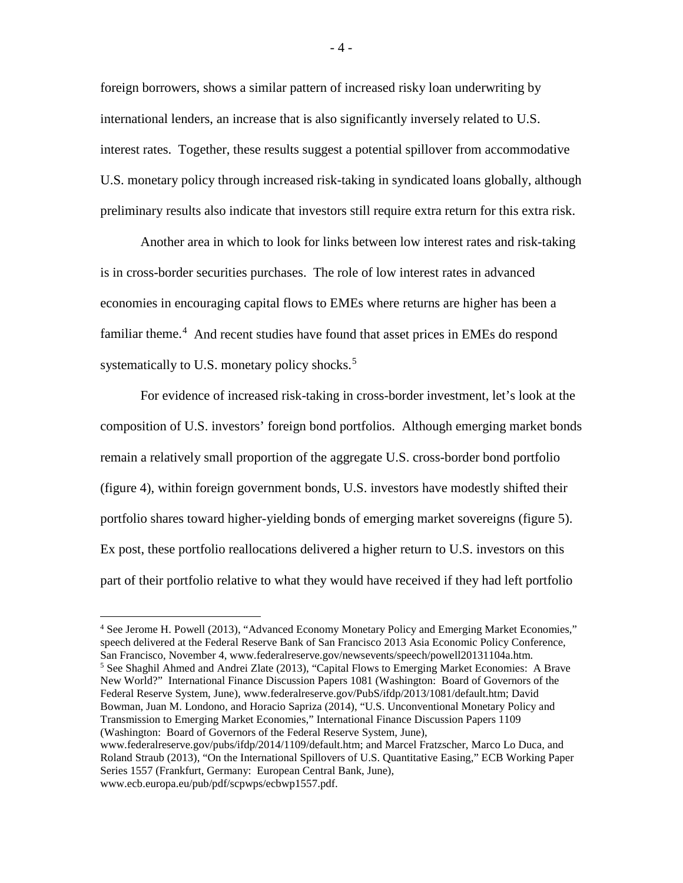foreign borrowers, shows a similar pattern of increased risky loan underwriting by international lenders, an increase that is also significantly inversely related to U.S. interest rates. Together, these results suggest a potential spillover from accommodative U.S. monetary policy through increased risk-taking in syndicated loans globally, although preliminary results also indicate that investors still require extra return for this extra risk.

Another area in which to look for links between low interest rates and risk-taking is in cross-border securities purchases. The role of low interest rates in advanced economies in encouraging capital flows to EMEs where returns are higher has been a familiar theme.<sup>[4](#page-4-0)</sup> And recent studies have found that asset prices in EMEs do respond systematically to U.S. monetary policy shocks.<sup>[5](#page-4-1)</sup>

For evidence of increased risk-taking in cross-border investment, let's look at the composition of U.S. investors' foreign bond portfolios. Although emerging market bonds remain a relatively small proportion of the aggregate U.S. cross-border bond portfolio (figure 4), within foreign government bonds, U.S. investors have modestly shifted their portfolio shares toward higher-yielding bonds of emerging market sovereigns (figure 5). Ex post, these portfolio reallocations delivered a higher return to U.S. investors on this part of their portfolio relative to what they would have received if they had left portfolio

<span id="page-4-1"></span><span id="page-4-0"></span><sup>4</sup> See Jerome H. Powell (2013), "Advanced Economy Monetary Policy and Emerging Market Economies," speech delivered at the Federal Reserve Bank of San Francisco 2013 Asia Economic Policy Conference, San Francisco, November 4, www.federalreserve.gov/newsevents/speech/powell20131104a.htm. <sup>5</sup> See Shaghil Ahmed and Andrei Zlate (2013), "Capital Flows to Emerging Market Economies: A Brave New World?" International Finance Discussion Papers 1081 (Washington: Board of Governors of the Federal Reserve System, June), www.federalreserve.gov/PubS/ifdp/2013/1081/default.htm; David Bowman, Juan M. Londono, and Horacio Sapriza (2014), "U.S. Unconventional Monetary Policy and Transmission to Emerging Market Economies," International Finance Discussion Papers 1109 (Washington: Board of Governors of the Federal Reserve System, June), www.federalreserve.gov/pubs/ifdp/2014/1109/default.htm; and Marcel Fratzscher, Marco Lo Duca, and Roland Straub (2013), "On the International Spillovers of U.S. Quantitative Easing," ECB Working Paper Series 1557 (Frankfurt, Germany: European Central Bank, June), www.ecb.europa.eu/pub/pdf/scpwps/ecbwp1557.pdf.  $\overline{a}$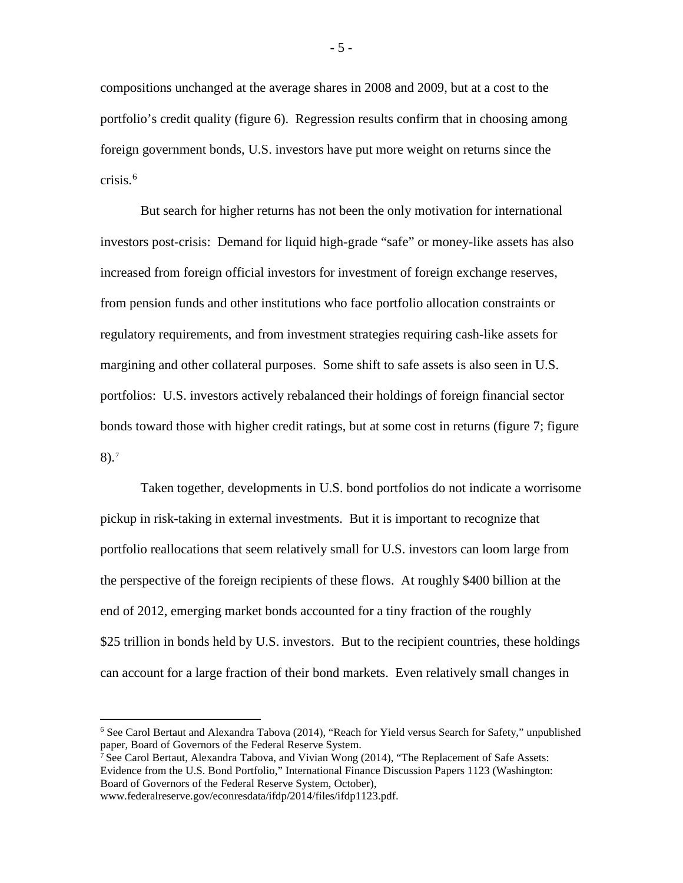compositions unchanged at the average shares in 2008 and 2009, but at a cost to the portfolio's credit quality (figure 6). Regression results confirm that in choosing among foreign government bonds, U.S. investors have put more weight on returns since the crisis. [6](#page-5-0)

But search for higher returns has not been the only motivation for international investors post-crisis: Demand for liquid high-grade "safe" or money-like assets has also increased from foreign official investors for investment of foreign exchange reserves, from pension funds and other institutions who face portfolio allocation constraints or regulatory requirements, and from investment strategies requiring cash-like assets for margining and other collateral purposes. Some shift to safe assets is also seen in U.S. portfolios: U.S. investors actively rebalanced their holdings of foreign financial sector bonds toward those with higher credit ratings, but at some cost in returns (figure 7; figure 8).[7](#page-5-1)

Taken together, developments in U.S. bond portfolios do not indicate a worrisome pickup in risk-taking in external investments. But it is important to recognize that portfolio reallocations that seem relatively small for U.S. investors can loom large from the perspective of the foreign recipients of these flows. At roughly \$400 billion at the end of 2012, emerging market bonds accounted for a tiny fraction of the roughly \$25 trillion in bonds held by U.S. investors. But to the recipient countries, these holdings can account for a large fraction of their bond markets. Even relatively small changes in

 $\overline{a}$ 

- 5 -

<span id="page-5-0"></span><sup>6</sup> See Carol Bertaut and Alexandra Tabova (2014), "Reach for Yield versus Search for Safety," unpublished paper, Board of Governors of the Federal Reserve System.

<span id="page-5-1"></span><sup>&</sup>lt;sup>7</sup> See Carol Bertaut, Alexandra Tabova, and Vivian Wong  $(2014)$ , "The Replacement of Safe Assets: Evidence from the U.S. Bond Portfolio," International Finance Discussion Papers 1123 (Washington: Board of Governors of the Federal Reserve System, October),

www.federalreserve.gov/econresdata/ifdp/2014/files/ifdp1123.pdf.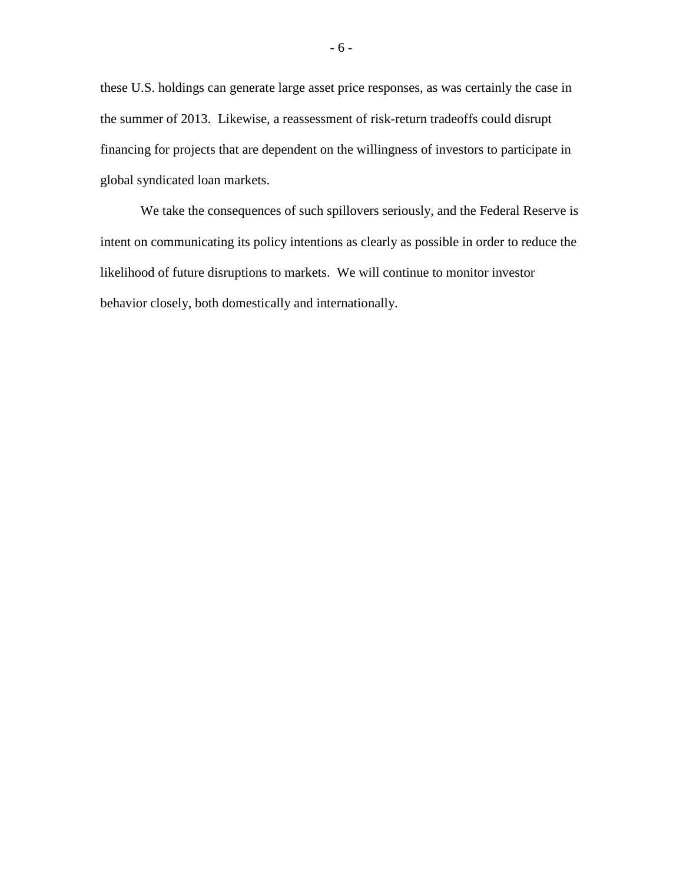these U.S. holdings can generate large asset price responses, as was certainly the case in the summer of 2013. Likewise, a reassessment of risk-return tradeoffs could disrupt financing for projects that are dependent on the willingness of investors to participate in global syndicated loan markets.

We take the consequences of such spillovers seriously, and the Federal Reserve is intent on communicating its policy intentions as clearly as possible in order to reduce the likelihood of future disruptions to markets. We will continue to monitor investor behavior closely, both domestically and internationally.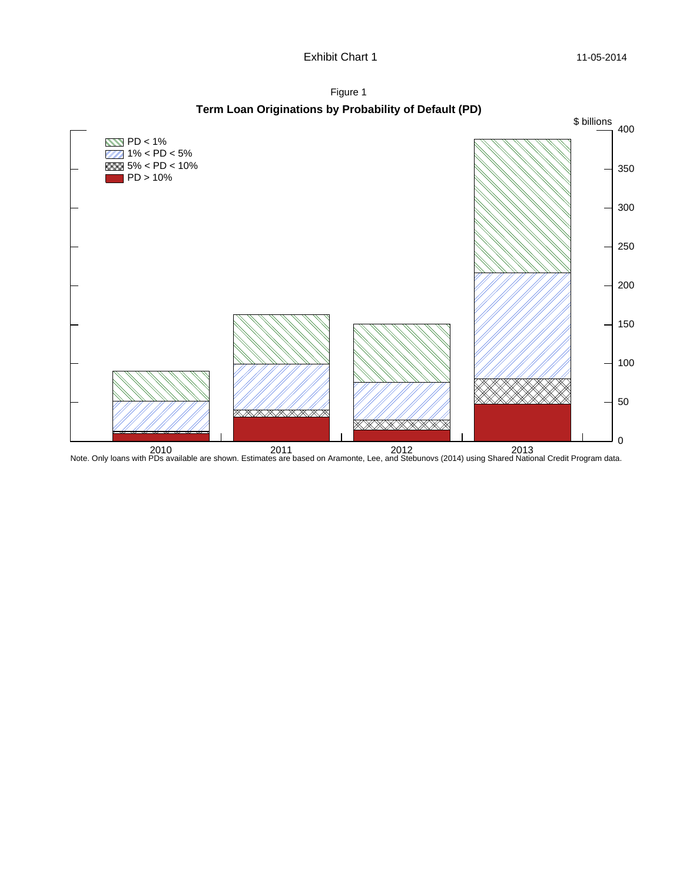Figure 1

**Term Loan Originations by Probability of Default (PD)**

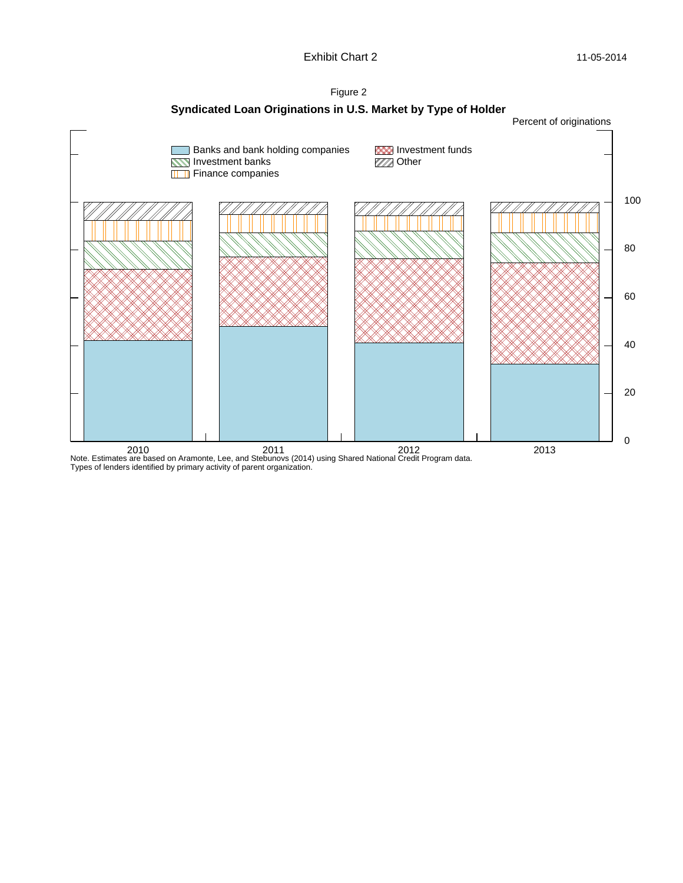

2010 2011 2012 2013 Note. Estimates are based on Aramonte, Lee, and Stebunovs (2014) using Shared National Credit Program data. Types of lenders identified by primary activity of parent organization.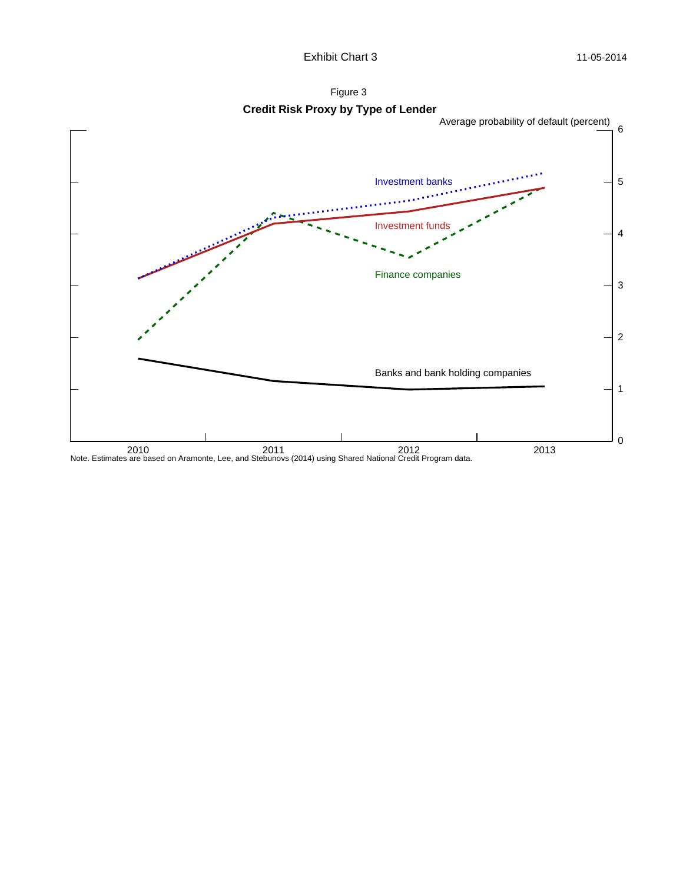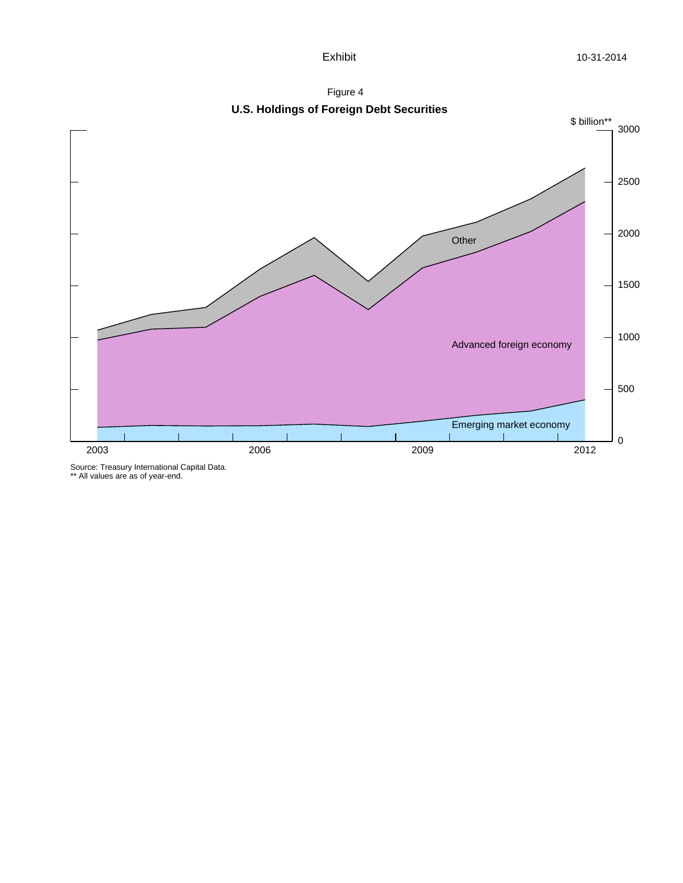



Source: Treasury International Capital Data. \*\* All values are as of year-end.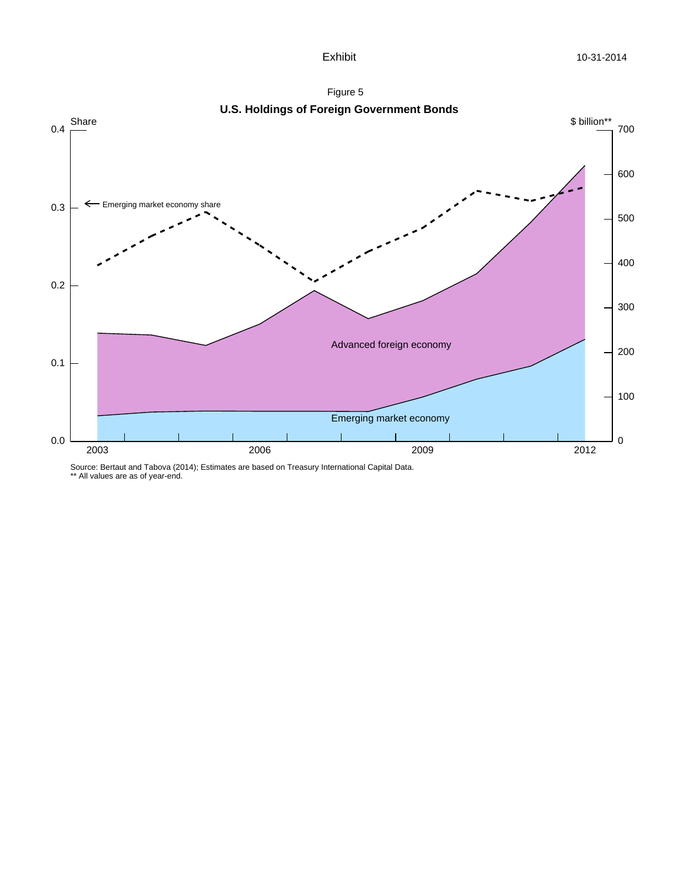



Source: Bertaut and Tabova (2014); Estimates are based on Treasury International Capital Data.

\*\* All values are as of year-end.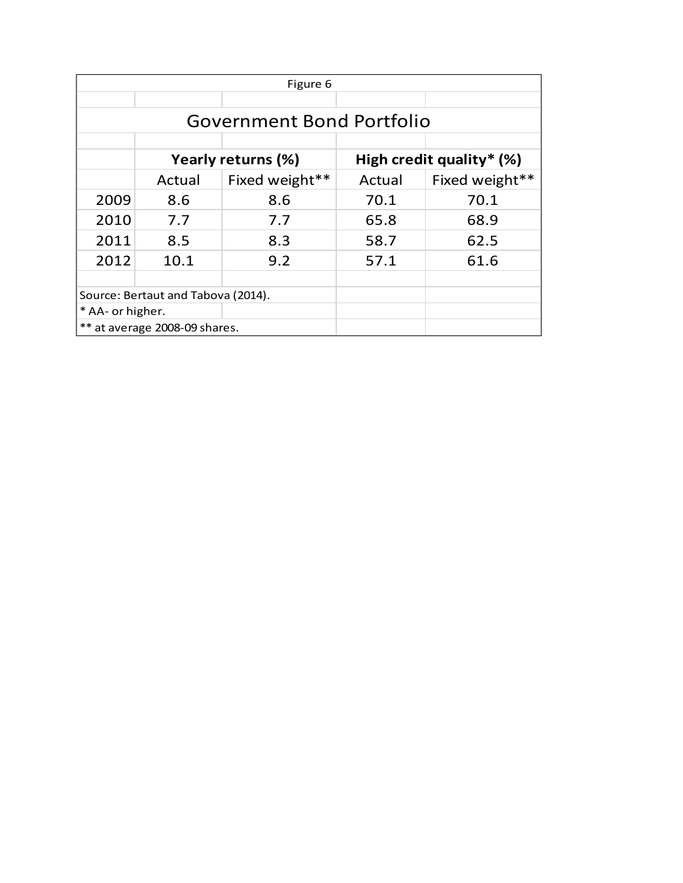| Figure 6                         |                                    |                |                          |                |  |  |  |
|----------------------------------|------------------------------------|----------------|--------------------------|----------------|--|--|--|
|                                  |                                    |                |                          |                |  |  |  |
| <b>Government Bond Portfolio</b> |                                    |                |                          |                |  |  |  |
|                                  |                                    |                |                          |                |  |  |  |
|                                  | Yearly returns (%)                 |                | High credit quality* (%) |                |  |  |  |
|                                  | Actual                             | Fixed weight** | Actual                   | Fixed weight** |  |  |  |
| 2009                             | 8.6                                | 8.6            | 70.1                     | 70.1           |  |  |  |
| 2010                             | 7.7                                | 7.7            | 65.8                     | 68.9           |  |  |  |
| 2011                             | 8.5                                | 8.3            | 58.7                     | 62.5           |  |  |  |
| 2012                             | 10.1                               | 9.2            | 57.1                     | 61.6           |  |  |  |
|                                  |                                    |                |                          |                |  |  |  |
|                                  | Source: Bertaut and Tabova (2014). |                |                          |                |  |  |  |
| * AA- or higher.                 |                                    |                |                          |                |  |  |  |
|                                  | ** at average 2008-09 shares.      |                |                          |                |  |  |  |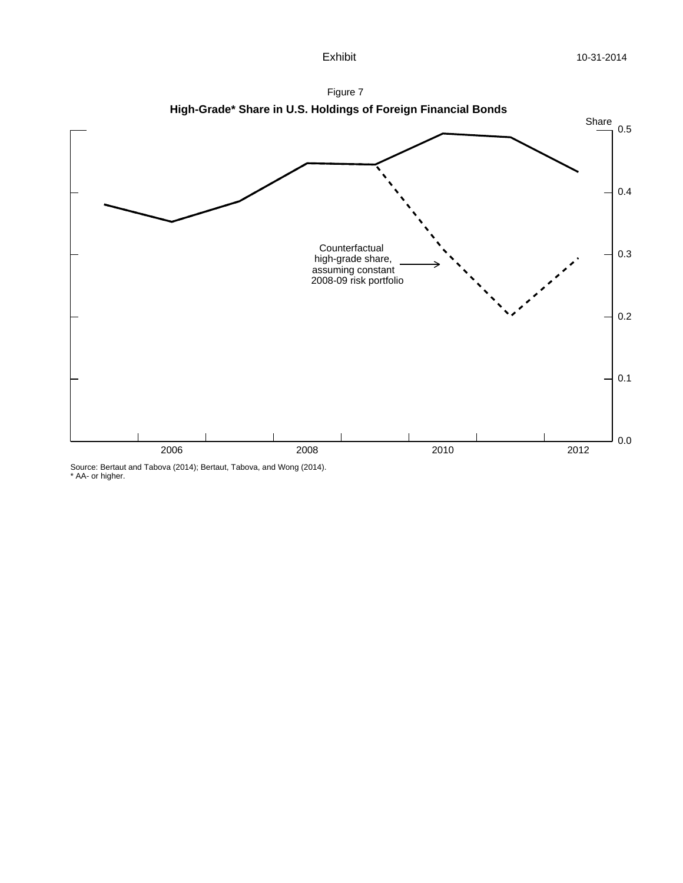

Source: Bertaut and Tabova (2014); Bertaut, Tabova, and Wong (2014). \* AA- or higher.